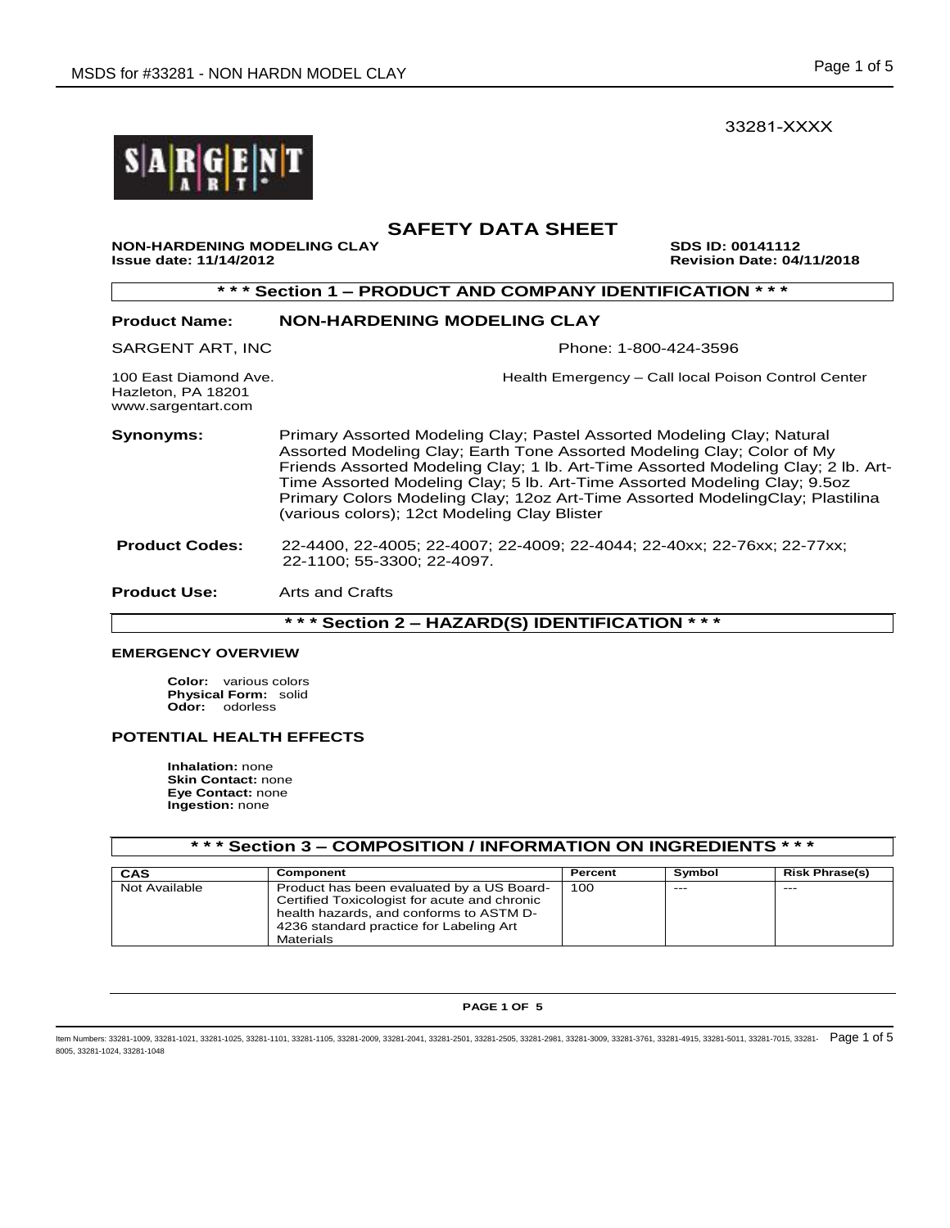33281-XXXX



# **SAFETY DATA SHEET**

**NON-HARDENING MODELING CLAY SDS ID: 00141112 Issue date: 11/14/2012 Revision Date: 04/11/2018** 

| *** Section 1 - PRODUCT AND COMPANY IDENTIFICATION ***            |                                                                                                                                                                                                                                                                                                                                                                                                                                                     |  |  |  |
|-------------------------------------------------------------------|-----------------------------------------------------------------------------------------------------------------------------------------------------------------------------------------------------------------------------------------------------------------------------------------------------------------------------------------------------------------------------------------------------------------------------------------------------|--|--|--|
| <b>Product Name:</b>                                              | <b>NON-HARDENING MODELING CLAY</b>                                                                                                                                                                                                                                                                                                                                                                                                                  |  |  |  |
| SARGENT ART, INC                                                  | Phone: 1-800-424-3596                                                                                                                                                                                                                                                                                                                                                                                                                               |  |  |  |
| 100 Fast Diamond Ave.<br>Hazleton, PA 18201<br>www.sargentart.com | Health Emergency – Call local Poison Control Center                                                                                                                                                                                                                                                                                                                                                                                                 |  |  |  |
| Synonyms:                                                         | Primary Assorted Modeling Clay; Pastel Assorted Modeling Clay; Natural<br>Assorted Modeling Clay; Earth Tone Assorted Modeling Clay; Color of My<br>Friends Assorted Modeling Clay; 1 lb. Art-Time Assorted Modeling Clay; 2 lb. Art-<br>Time Assorted Modeling Clay; 5 lb. Art-Time Assorted Modeling Clay; 9.5oz<br>Primary Colors Modeling Clay; 12oz Art-Time Assorted ModelingClay; Plastilina<br>(various colors); 12ct Modeling Clay Blister |  |  |  |
| <b>Product Codes:</b>                                             | 22-4400, 22-4005; 22-4007; 22-4009; 22-4044; 22-40xx; 22-76xx; 22-77xx;<br>22-1100: 55-3300: 22-4097.                                                                                                                                                                                                                                                                                                                                               |  |  |  |
| <b>Product Use:</b>                                               | Arts and Crafts                                                                                                                                                                                                                                                                                                                                                                                                                                     |  |  |  |
| *** Section 2 - HAZARD(S) IDENTIFICATION ***                      |                                                                                                                                                                                                                                                                                                                                                                                                                                                     |  |  |  |

### **EMERGENCY OVERVIEW**

**Color:** various colors **Physical Form:** solid **Odor:** odorless

## **POTENTIAL HEALTH EFFECTS**

**Inhalation:** none **Skin Contact:** none **Eye Contact:** none **Ingestion:** none

| *** Section 3 – COMPOSITION / INFORMATION ON INGREDIENTS * * * |                                                                                                                                                                                                     |         |        |                       |  |  |
|----------------------------------------------------------------|-----------------------------------------------------------------------------------------------------------------------------------------------------------------------------------------------------|---------|--------|-----------------------|--|--|
| CAS                                                            | Component                                                                                                                                                                                           | Percent | Symbol | <b>Risk Phrase(s)</b> |  |  |
| Not Available                                                  | Product has been evaluated by a US Board-<br>Certified Toxicologist for acute and chronic<br>health hazards, and conforms to ASTM D-<br>4236 standard practice for Labeling Art<br><b>Materials</b> | 100     | $---$  | $- - -$               |  |  |

#### **PAGE 1 OF 5**

ltem Numbers: 33281-1009, 33281-1021, 33281-1025, 33281-1101, 33281-1105, 33281-2009, 33281-2941, 33281-2955, 33281-2981, 33281-309, 33281-3761, 33281-3761, 33281-4915, 33281-6011, 33281-7015, 33281-  $\mathsf{P}\mathsf{G}$  Page 1 o 8005, 33281-1024, 33281-1048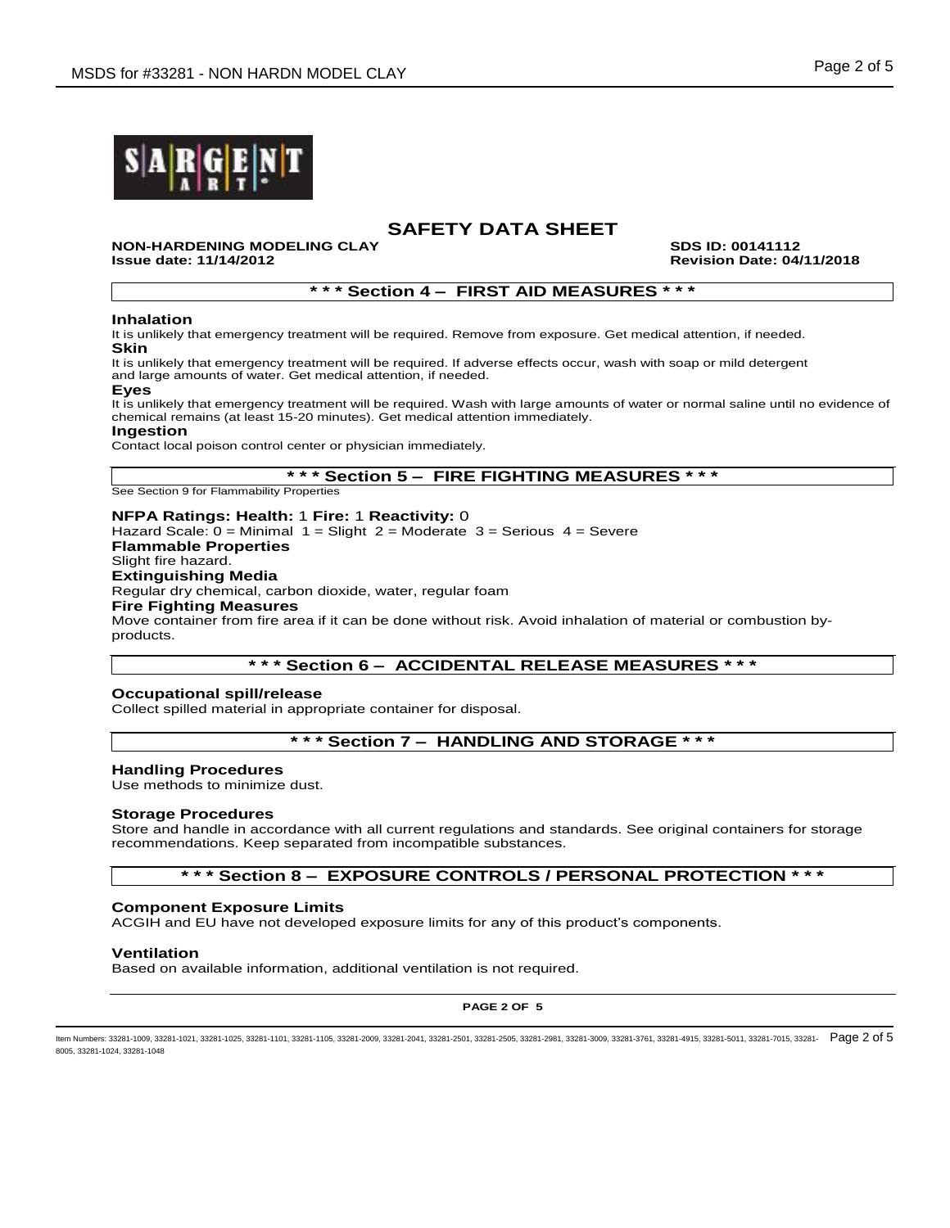

# **NON-HARDENING MODELING CLAY SDS ID: 00141112**<br>Issue date: 11/14/2012 **ISSUE 2018** Revision Date: 04/

**Issue date: 11/14/2012 Revision Date: 04/11/2018**

**\* \* \* Section 4 – FIRST AID MEASURES \* \* \***

## **Inhalation**

It is unlikely that emergency treatment will be required. Remove from exposure. Get medical attention, if needed. **Skin**

It is unlikely that emergency treatment will be required. If adverse effects occur, wash with soap or mild detergent and large amounts of water. Get medical attention, if needed.

## **Eyes**

It is unlikely that emergency treatment will be required. Wash with large amounts of water or normal saline until no evidence of chemical remains (at least 15-20 minutes). Get medical attention immediately.

#### **Ingestion**

Contact local poison control center or physician immediately.

## **\* \* \* Section 5 – FIRE FIGHTING MEASURES \* \* \***

See Section 9 for Flammability Properties

#### **NFPA Ratings: Health:** 1 **Fire:** 1 **Reactivity:** 0

Hazard Scale:  $0 =$  Minimal  $1 =$  Slight  $2 =$  Moderate  $3 =$  Serious  $4 =$  Severe **Flammable Properties** Slight fire hazard. **Extinguishing Media** Regular dry chemical, carbon dioxide, water, regular foam **Fire Fighting Measures** Move container from fire area if it can be done without risk. Avoid inhalation of material or combustion byproducts.

## **\* \* \* Section 6 – ACCIDENTAL RELEASE MEASURES \* \* \***

#### **Occupational spill/release**

Collect spilled material in appropriate container for disposal.

# **\* \* \* Section 7 – HANDLING AND STORAGE \* \* \***

#### **Handling Procedures**

Use methods to minimize dust.

#### **Storage Procedures**

Store and handle in accordance with all current regulations and standards. See original containers for storage recommendations. Keep separated from incompatible substances.

# **\* \* \* Section 8 – EXPOSURE CONTROLS / PERSONAL PROTECTION \* \* \***

#### **Component Exposure Limits**

ACGIH and EU have not developed exposure limits for any of this product's components.

#### **Ventilation**

Based on available information, additional ventilation is not required.

**PAGE 2 OF 5**

ltem Numbers: 33281-1009, 33281-1021, 33281-1025, 33281-1101, 33281-1105, 33281-2009, 33281-2941, 33281-2955, 33281-2981, 33281-309, 33281-3761, 33281-3761, 33281-4915, 33281-6011, 33281-7015, 33281-  $\mathsf{P}\mathsf{G}$  Page 2 o 8005, 33281-1024, 33281-1048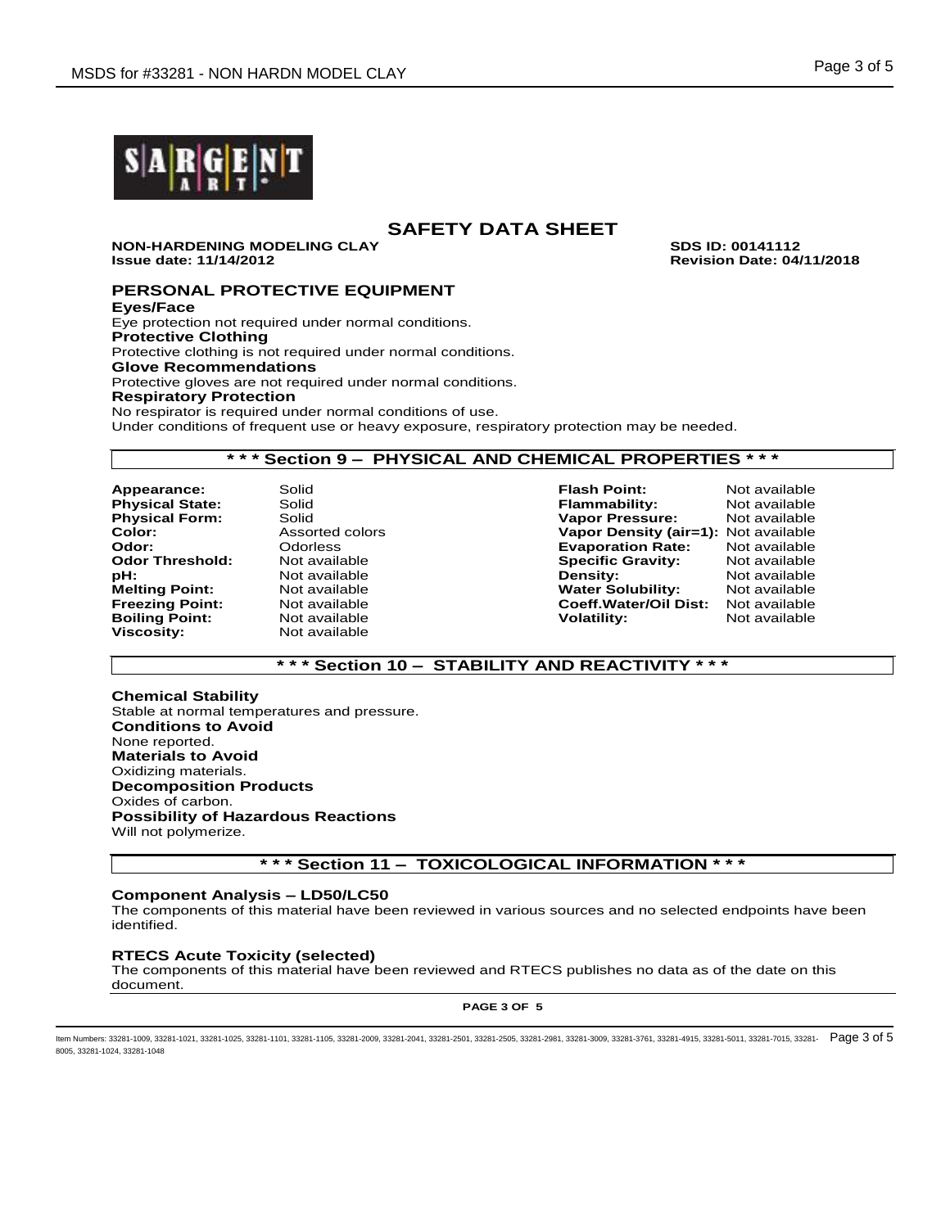

**NON-HARDENING MODELING CLAY SDS ID: 00141112 Issue date: 11/14/2012 Revision Date: 04/11/2018**

**PERSONAL PROTECTIVE EQUIPMENT**

**Eyes/Face** Eye protection not required under normal conditions. **Protective Clothing** Protective clothing is not required under normal conditions. **Glove Recommendations** Protective gloves are not required under normal conditions. **Respiratory Protection** No respirator is required under normal conditions of use. Under conditions of frequent use or heavy exposure, respiratory protection may be needed.

## **\* \* \* Section 9 – PHYSICAL AND CHEMICAL PROPERTIES \* \* \***

**Appearance:** Solid **Flash Point:** Not available **Physical State: Odor Threshold: Boiling Point:** Not available **Volatility**: **Volatility: Volatility: V Viscosity:** Not available

**Physical Form:** Solid **Vapor Pressure:** Not available **Vapor Density (air=1): Not available Odor:** Odorless **Evaporation Rate:** Not available **pH:** Not available **Density:** Not available **Melting Point:** Not available **Water Solubility:** Not available **Freezing Point:** Not available **Coeff.Water/Oil Dist:** Not available

# **\* \* \* Section 10 – STABILITY AND REACTIVITY \* \* \***

**Chemical Stability** Stable at normal temperatures and pressure. **Conditions to Avoid** None reported. **Materials to Avoid** Oxidizing materials. **Decomposition Products** Oxides of carbon. **Possibility of Hazardous Reactions** Will not polymerize.

# **\* \* \* Section 11 – TOXICOLOGICAL INFORMATION \* \* \***

## **Component Analysis – LD50/LC50**

The components of this material have been reviewed in various sources and no selected endpoints have been identified.

## **RTECS Acute Toxicity (selected)**

The components of this material have been reviewed and RTECS publishes no data as of the date on this document.

**PAGE 3 OF 5**

ltem Numbers: 33281-1009, 33281-1021, 33281-1025, 33281-1101, 33281-1105, 33281-2009, 33281-2941, 33281-2955, 33281-2981, 33281-309, 33281-3761, 33281-3761, 33281-4915, 33281-6011, 33281-7015, 33281-  $\mathsf{P}\mathsf{G}$  Page 3 o 8005, 33281-1024, 33281-1048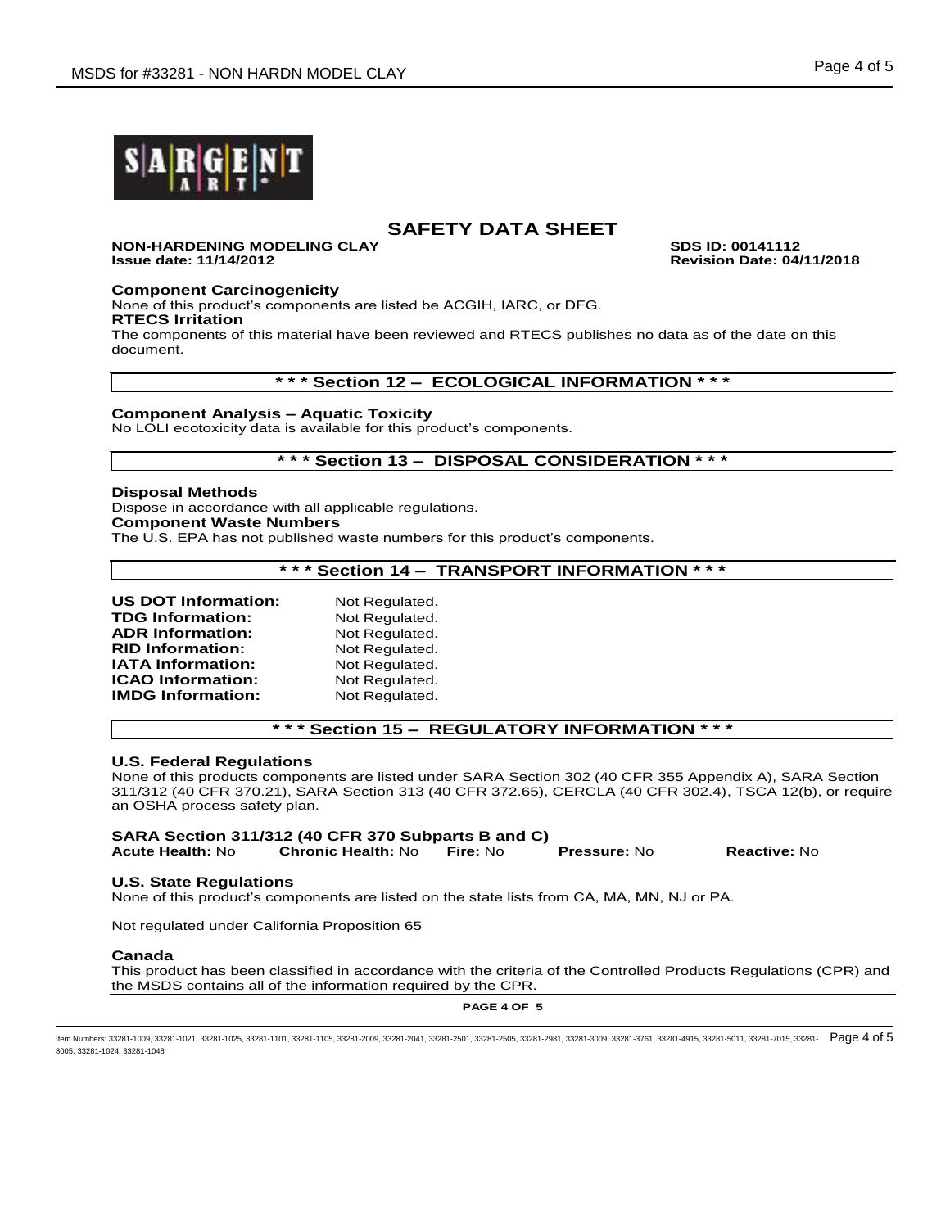

# **NON-HARDENING MODELING CLAY SDS ID: 00141112**<br>Issue date: 11/14/2012 **ISSUE 2018** Revision Date: 04/

**Issue date: 11/14/2012 Revision Date: 04/11/2018**

## **Component Carcinogenicity**

None of this product's components are listed be ACGIH, IARC, or DFG.

# **RTECS Irritation**

The components of this material have been reviewed and RTECS publishes no data as of the date on this document.

## **\* \* \* Section 12 – ECOLOGICAL INFORMATION \* \* \***

## **Component Analysis – Aquatic Toxicity**

No LOLI ecotoxicity data is available for this product's components.

# **\* \* \* Section 13 – DISPOSAL CONSIDERATION \* \* \***

## **Disposal Methods**

Dispose in accordance with all applicable regulations.

**Component Waste Numbers**

The U.S. EPA has not published waste numbers for this product's components.

# **\* \* \* Section 14 – TRANSPORT INFORMATION \* \* \***

| <b>US DOT Information:</b> | Not Regulated. |
|----------------------------|----------------|
| <b>TDG Information:</b>    | Not Regulated. |
| <b>ADR Information:</b>    | Not Regulated. |
| <b>RID Information:</b>    | Not Regulated. |
| <b>IATA Information:</b>   | Not Regulated. |
| <b>ICAO Information:</b>   | Not Regulated. |
| <b>IMDG Information:</b>   | Not Regulated. |

## **\* \* \* Section 15 – REGULATORY INFORMATION \* \* \***

## **U.S. Federal Regulations**

None of this products components are listed under SARA Section 302 (40 CFR 355 Appendix A), SARA Section 311/312 (40 CFR 370.21), SARA Section 313 (40 CFR 372.65), CERCLA (40 CFR 302.4), TSCA 12(b), or require an OSHA process safety plan.

| SARA Section 311/312 (40 CFR 370 Subparts B and C) |                           |          |                     |                     |  |  |  |  |
|----------------------------------------------------|---------------------------|----------|---------------------|---------------------|--|--|--|--|
| <b>Acute Health: No</b>                            | <b>Chronic Health:</b> No | Fire: No | <b>Pressure: No</b> | <b>Reactive: No</b> |  |  |  |  |

#### **U.S. State Regulations**

None of this product's components are listed on the state lists from CA, MA, MN, NJ or PA.

Not regulated under California Proposition 65

#### **Canada**

This product has been classified in accordance with the criteria of the Controlled Products Regulations (CPR) and the MSDS contains all of the information required by the CPR.

**PAGE 4 OF 5**

ltem Numbers: 33281-1009, 33281-1021, 33281-1025, 33281-1101, 33281-1105, 33281-2009, 33281-2941, 33281-2955, 33281-2981, 33281-309, 33281-3761, 33281-3761, 33281-4915, 33281-6011, 33281-7015, 33281-  $\mathsf{P}\mathsf{G}\mathsf{P}$ 8005, 33281-1024, 33281-1048